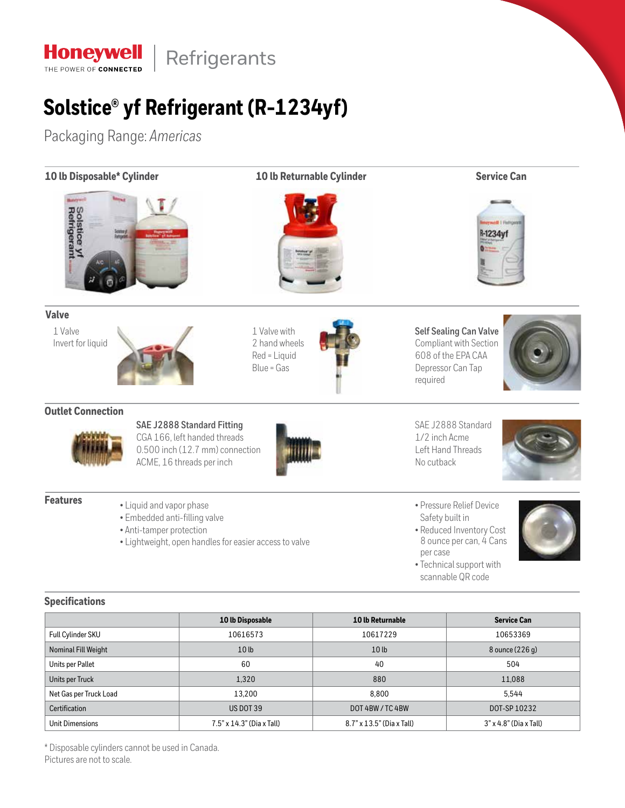

# **Solstice® yf Refrigerant (R-1234yf)**

Packaging Range: *Americas*

| 10 lb Disposable* Cylinder   |                                                                                       | 10 lb Returnable Cylinder                                                                                                  |                  | <b>Service Can</b>                                                                                                                                  |  |
|------------------------------|---------------------------------------------------------------------------------------|----------------------------------------------------------------------------------------------------------------------------|------------------|-----------------------------------------------------------------------------------------------------------------------------------------------------|--|
| Solstice yf<br>Refrigerant   |                                                                                       |                                                                                                                            |                  | R-1234yf                                                                                                                                            |  |
| <b>Valve</b>                 |                                                                                       |                                                                                                                            |                  |                                                                                                                                                     |  |
| 1 Valve<br>Invert for liquid |                                                                                       | 1 Valve with<br>2 hand wheels<br>Red = Liquid<br>Blue = Gas                                                                | required         | <b>Self Sealing Can Valve</b><br>Compliant with Section<br>608 of the EPA CAA<br>Depressor Can Tap                                                  |  |
| <b>Outlet Connection</b>     |                                                                                       |                                                                                                                            |                  |                                                                                                                                                     |  |
|                              |                                                                                       | SAE J2888 Standard Fitting<br>CGA 166, left handed threads<br>0.500 inch (12.7 mm) connection<br>ACME, 16 threads per inch | No cutback       | SAE J2888 Standard<br>1/2 inch Acme<br>Left Hand Threads                                                                                            |  |
| <b>Features</b>              | • Liquid and vapor phase<br>· Embedded anti-filling valve<br>• Anti-tamper protection | • Lightweight, open handles for easier access to valve                                                                     | per case         | · Pressure Relief Device<br>Safety built in<br>• Reduced Inventory Cost<br>8 ounce per can, 4 Cans<br>• Technical support with<br>scannable QR code |  |
| <b>Specifications</b>        |                                                                                       |                                                                                                                            |                  |                                                                                                                                                     |  |
|                              |                                                                                       | 10 lb Disposable                                                                                                           | 10 lb Returnable | <b>Service Can</b>                                                                                                                                  |  |

|                        | 10 lb Disposable                 | 10 lb Returnable                                             | <b>Service Can</b> |
|------------------------|----------------------------------|--------------------------------------------------------------|--------------------|
| Full Cylinder SKU      | 10616573                         | 10617229                                                     | 10653369           |
| Nominal Fill Weight    | 10 <sub>lb</sub>                 | 10 <sub>lb</sub>                                             | 8 ounce (226 g)    |
| Units per Pallet       | 60                               | 40                                                           | 504                |
| Units per Truck        | 1,320                            | 880                                                          | 11,088             |
| Net Gas per Truck Load | 13,200                           | 8.800                                                        | 5.544              |
| <b>Certification</b>   | <b>US DOT 39</b>                 | DOT 4BW / TC 4BW                                             | DOT-SP 10232       |
| <b>Unit Dimensions</b> | $7.5" \times 14.3"$ (Dia x Tall) | $8.7" \times 13.5"$ (Dia x Tall)<br>$3"$ x 4.8" (Dia x Tall) |                    |

\* Disposable cylinders cannot be used in Canada. Pictures are not to scale.